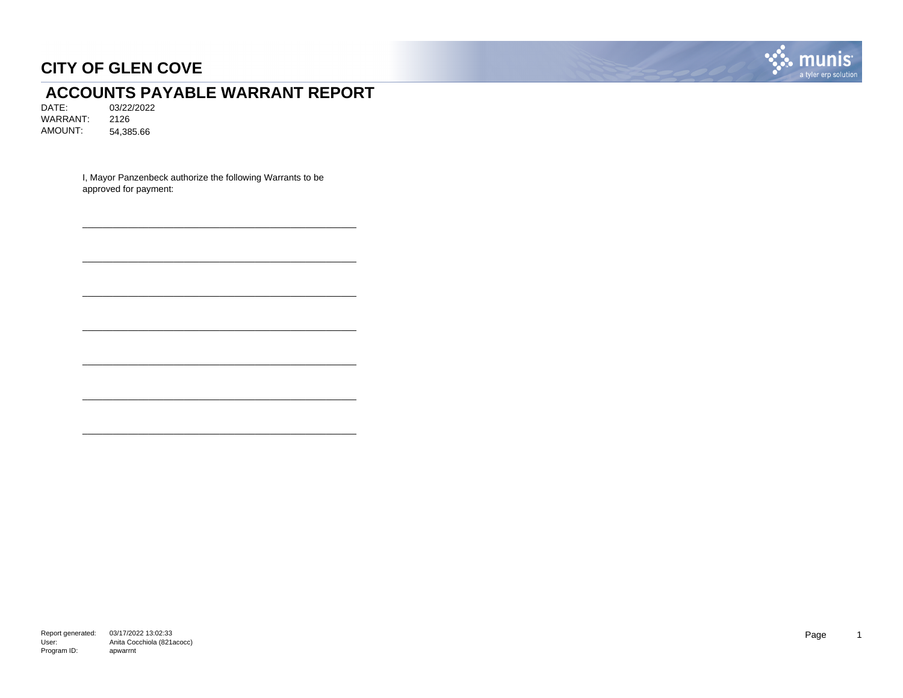

# **ACCOUNTS PAYABLE WARRANT REPORT**<br>DATE: 03/22/2022

DATE: 03/22/2022 WARRANT: 2126 AMOUNT: 54,385.66

> I, Mayor Panzenbeck authorize the following Warrants to be approved for payment:

\_\_\_\_\_\_\_\_\_\_\_\_\_\_\_\_\_\_\_\_\_\_\_\_\_\_\_\_\_\_\_\_\_\_\_\_\_\_\_\_\_\_\_\_\_\_\_\_\_\_\_\_\_\_

\_\_\_\_\_\_\_\_\_\_\_\_\_\_\_\_\_\_\_\_\_\_\_\_\_\_\_\_\_\_\_\_\_\_\_\_\_\_\_\_\_\_\_\_\_\_\_\_\_\_\_\_\_\_

\_\_\_\_\_\_\_\_\_\_\_\_\_\_\_\_\_\_\_\_\_\_\_\_\_\_\_\_\_\_\_\_\_\_\_\_\_\_\_\_\_\_\_\_\_\_\_\_\_\_\_\_\_\_

\_\_\_\_\_\_\_\_\_\_\_\_\_\_\_\_\_\_\_\_\_\_\_\_\_\_\_\_\_\_\_\_\_\_\_\_\_\_\_\_\_\_\_\_\_\_\_\_\_\_\_\_\_\_

\_\_\_\_\_\_\_\_\_\_\_\_\_\_\_\_\_\_\_\_\_\_\_\_\_\_\_\_\_\_\_\_\_\_\_\_\_\_\_\_\_\_\_\_\_\_\_\_\_\_\_\_\_\_

\_\_\_\_\_\_\_\_\_\_\_\_\_\_\_\_\_\_\_\_\_\_\_\_\_\_\_\_\_\_\_\_\_\_\_\_\_\_\_\_\_\_\_\_\_\_\_\_\_\_\_\_\_\_

\_\_\_\_\_\_\_\_\_\_\_\_\_\_\_\_\_\_\_\_\_\_\_\_\_\_\_\_\_\_\_\_\_\_\_\_\_\_\_\_\_\_\_\_\_\_\_\_\_\_\_\_\_\_

Report generated: 03/17/2022 13:02:33 User: Program ID: Anita Cocchiola (821acocc) apwarrnt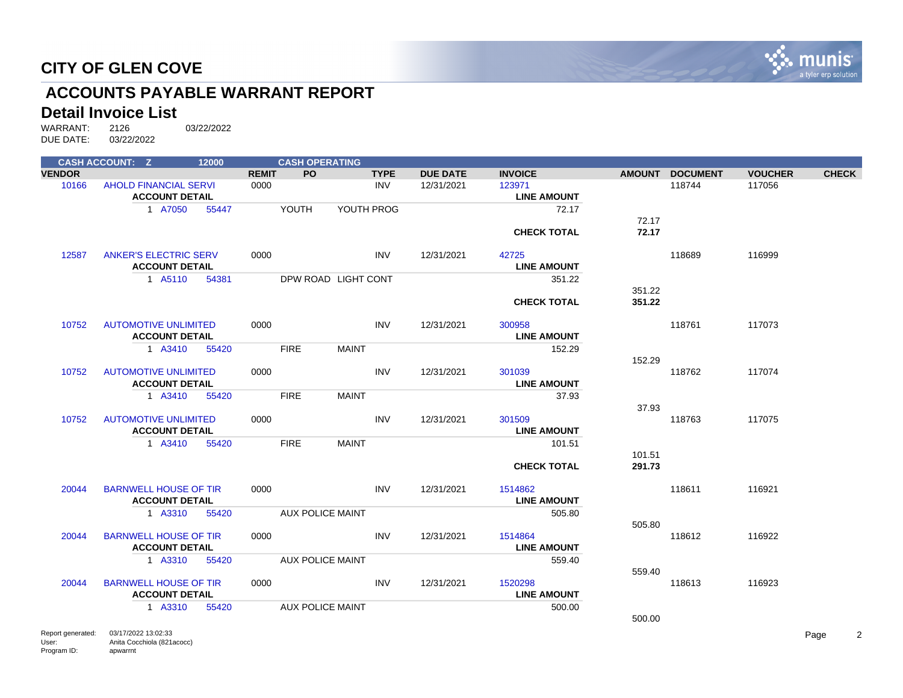

# **ACCOUNTS PAYABLE WARRANT REPORT**

#### **Detail Invoice List**

|               | <b>CASH ACCOUNT: Z</b>       | 12000 |              | <b>CASH OPERATING</b>   |              |             |                 |                    |        |                 |                |              |
|---------------|------------------------------|-------|--------------|-------------------------|--------------|-------------|-----------------|--------------------|--------|-----------------|----------------|--------------|
| <b>VENDOR</b> |                              |       | <b>REMIT</b> | <b>PO</b>               |              | <b>TYPE</b> | <b>DUE DATE</b> | <b>INVOICE</b>     |        | AMOUNT DOCUMENT | <b>VOUCHER</b> | <b>CHECK</b> |
| 10166         | <b>AHOLD FINANCIAL SERVI</b> |       | 0000         |                         |              | INV         | 12/31/2021      | 123971             |        | 118744          | 117056         |              |
|               | <b>ACCOUNT DETAIL</b>        |       |              |                         |              |             |                 | <b>LINE AMOUNT</b> |        |                 |                |              |
|               | 1 A7050                      | 55447 |              | YOUTH                   | YOUTH PROG   |             |                 | 72.17              |        |                 |                |              |
|               |                              |       |              |                         |              |             |                 |                    | 72.17  |                 |                |              |
|               |                              |       |              |                         |              |             |                 | <b>CHECK TOTAL</b> | 72.17  |                 |                |              |
|               |                              |       |              |                         |              |             |                 |                    |        |                 |                |              |
| 12587         | <b>ANKER'S ELECTRIC SERV</b> |       | 0000         |                         |              | <b>INV</b>  | 12/31/2021      | 42725              |        | 118689          | 116999         |              |
|               | <b>ACCOUNT DETAIL</b>        |       |              |                         |              |             |                 | <b>LINE AMOUNT</b> |        |                 |                |              |
|               | 1 A5110                      | 54381 |              | DPW ROAD LIGHT CONT     |              |             |                 | 351.22             |        |                 |                |              |
|               |                              |       |              |                         |              |             |                 |                    | 351.22 |                 |                |              |
|               |                              |       |              |                         |              |             |                 | <b>CHECK TOTAL</b> | 351.22 |                 |                |              |
|               |                              |       |              |                         |              |             |                 |                    |        |                 |                |              |
| 10752         | <b>AUTOMOTIVE UNLIMITED</b>  |       | 0000         |                         |              | <b>INV</b>  | 12/31/2021      | 300958             |        | 118761          | 117073         |              |
|               | <b>ACCOUNT DETAIL</b>        |       |              |                         |              |             |                 | <b>LINE AMOUNT</b> |        |                 |                |              |
|               | 1 A3410                      | 55420 |              | <b>FIRE</b>             | <b>MAINT</b> |             |                 | 152.29             |        |                 |                |              |
|               |                              |       |              |                         |              |             |                 |                    | 152.29 |                 |                |              |
| 10752         | <b>AUTOMOTIVE UNLIMITED</b>  |       | 0000         |                         |              | <b>INV</b>  | 12/31/2021      | 301039             |        | 118762          | 117074         |              |
|               | <b>ACCOUNT DETAIL</b>        |       |              |                         |              |             |                 | <b>LINE AMOUNT</b> |        |                 |                |              |
|               | 1 A3410                      | 55420 |              | <b>FIRE</b>             | <b>MAINT</b> |             |                 | 37.93              |        |                 |                |              |
|               |                              |       |              |                         |              |             |                 |                    | 37.93  |                 |                |              |
| 10752         | <b>AUTOMOTIVE UNLIMITED</b>  |       | 0000         |                         |              | <b>INV</b>  | 12/31/2021      | 301509             |        | 118763          | 117075         |              |
|               | <b>ACCOUNT DETAIL</b>        |       |              |                         |              |             |                 | <b>LINE AMOUNT</b> |        |                 |                |              |
|               | 1 A3410                      | 55420 |              | <b>FIRE</b>             | <b>MAINT</b> |             |                 | 101.51             |        |                 |                |              |
|               |                              |       |              |                         |              |             |                 |                    | 101.51 |                 |                |              |
|               |                              |       |              |                         |              |             |                 | <b>CHECK TOTAL</b> | 291.73 |                 |                |              |
| 20044         | <b>BARNWELL HOUSE OF TIR</b> |       | 0000         |                         |              | <b>INV</b>  | 12/31/2021      | 1514862            |        | 118611          | 116921         |              |
|               | <b>ACCOUNT DETAIL</b>        |       |              |                         |              |             |                 | <b>LINE AMOUNT</b> |        |                 |                |              |
|               | 1 A3310                      |       |              | <b>AUX POLICE MAINT</b> |              |             |                 | 505.80             |        |                 |                |              |
|               |                              | 55420 |              |                         |              |             |                 |                    | 505.80 |                 |                |              |
| 20044         | <b>BARNWELL HOUSE OF TIR</b> |       | 0000         |                         |              | <b>INV</b>  | 12/31/2021      | 1514864            |        | 118612          | 116922         |              |
|               | <b>ACCOUNT DETAIL</b>        |       |              |                         |              |             |                 | <b>LINE AMOUNT</b> |        |                 |                |              |
|               | 1 A3310                      | 55420 |              | <b>AUX POLICE MAINT</b> |              |             |                 | 559.40             |        |                 |                |              |
|               |                              |       |              |                         |              |             |                 |                    | 559.40 |                 |                |              |
| 20044         | <b>BARNWELL HOUSE OF TIR</b> |       | 0000         |                         |              | <b>INV</b>  | 12/31/2021      | 1520298            |        | 118613          | 116923         |              |
|               | <b>ACCOUNT DETAIL</b>        |       |              |                         |              |             |                 | <b>LINE AMOUNT</b> |        |                 |                |              |
|               | 1 A3310                      | 55420 |              | <b>AUX POLICE MAINT</b> |              |             |                 | 500.00             |        |                 |                |              |
|               |                              |       |              |                         |              |             |                 |                    | 500.00 |                 |                |              |
|               |                              |       |              |                         |              |             |                 |                    |        |                 |                |              |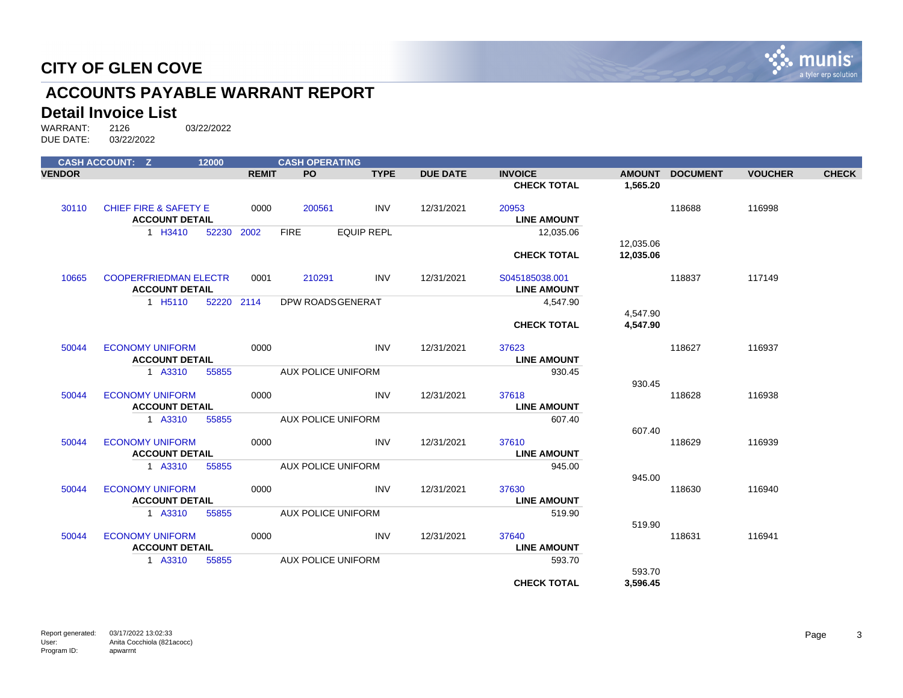

# **ACCOUNTS PAYABLE WARRANT REPORT**

#### **Detail Invoice List**

|               | <b>CASH ACCOUNT: Z</b>                          | 12000      |              | <b>CASH OPERATING</b>     |                   |                 |                             |                        |                 |                |              |
|---------------|-------------------------------------------------|------------|--------------|---------------------------|-------------------|-----------------|-----------------------------|------------------------|-----------------|----------------|--------------|
| <b>VENDOR</b> |                                                 |            | <b>REMIT</b> | <b>PO</b>                 | <b>TYPE</b>       | <b>DUE DATE</b> | <b>INVOICE</b>              |                        | AMOUNT DOCUMENT | <b>VOUCHER</b> | <b>CHECK</b> |
|               |                                                 |            |              |                           |                   |                 | <b>CHECK TOTAL</b>          | 1,565.20               |                 |                |              |
| 30110         | <b>CHIEF FIRE &amp; SAFETY E</b>                |            | 0000         | 200561                    | <b>INV</b>        | 12/31/2021      | 20953                       |                        | 118688          | 116998         |              |
|               | <b>ACCOUNT DETAIL</b>                           |            |              |                           |                   |                 | <b>LINE AMOUNT</b>          |                        |                 |                |              |
|               | 1 H3410                                         | 52230 2002 |              | <b>FIRE</b>               | <b>EQUIP REPL</b> |                 | 12,035.06                   |                        |                 |                |              |
|               |                                                 |            |              |                           |                   |                 | <b>CHECK TOTAL</b>          | 12,035.06<br>12,035.06 |                 |                |              |
|               |                                                 |            |              |                           |                   |                 |                             |                        |                 |                |              |
| 10665         | <b>COOPERFRIEDMAN ELECTR</b>                    |            | 0001         | 210291                    | <b>INV</b>        | 12/31/2021      | S045185038.001              |                        | 118837          | 117149         |              |
|               | <b>ACCOUNT DETAIL</b>                           |            |              |                           |                   |                 | <b>LINE AMOUNT</b>          |                        |                 |                |              |
|               | 1 H <sub>5</sub> 110                            | 52220 2114 |              | DPW ROADSGENERAT          |                   |                 | 4,547.90                    |                        |                 |                |              |
|               |                                                 |            |              |                           |                   |                 |                             | 4,547.90               |                 |                |              |
|               |                                                 |            |              |                           |                   |                 | <b>CHECK TOTAL</b>          | 4.547.90               |                 |                |              |
| 50044         | <b>ECONOMY UNIFORM</b>                          |            | 0000         |                           | <b>INV</b>        | 12/31/2021      | 37623                       |                        | 118627          | 116937         |              |
|               | <b>ACCOUNT DETAIL</b>                           |            |              |                           |                   |                 | <b>LINE AMOUNT</b>          |                        |                 |                |              |
|               | 1 A3310                                         | 55855      |              | <b>AUX POLICE UNIFORM</b> |                   |                 | 930.45                      |                        |                 |                |              |
|               |                                                 |            |              |                           |                   |                 |                             | 930.45                 |                 |                |              |
| 50044         | <b>ECONOMY UNIFORM</b><br><b>ACCOUNT DETAIL</b> |            | 0000         |                           | <b>INV</b>        | 12/31/2021      | 37618<br><b>LINE AMOUNT</b> |                        | 118628          | 116938         |              |
|               | 1 A3310                                         | 55855      |              | <b>AUX POLICE UNIFORM</b> |                   |                 | 607.40                      |                        |                 |                |              |
|               |                                                 |            |              |                           |                   |                 |                             | 607.40                 |                 |                |              |
| 50044         | <b>ECONOMY UNIFORM</b>                          |            | 0000         |                           | <b>INV</b>        | 12/31/2021      | 37610                       |                        | 118629          | 116939         |              |
|               | <b>ACCOUNT DETAIL</b>                           |            |              |                           |                   |                 | <b>LINE AMOUNT</b>          |                        |                 |                |              |
|               | 1 A3310                                         | 55855      |              | <b>AUX POLICE UNIFORM</b> |                   |                 | 945.00                      |                        |                 |                |              |
|               |                                                 |            |              |                           |                   |                 |                             | 945.00                 |                 |                |              |
| 50044         | <b>ECONOMY UNIFORM</b>                          |            | 0000         |                           | <b>INV</b>        | 12/31/2021      | 37630                       |                        | 118630          | 116940         |              |
|               | <b>ACCOUNT DETAIL</b>                           |            |              |                           |                   |                 | <b>LINE AMOUNT</b>          |                        |                 |                |              |
|               | 1 A3310                                         | 55855      |              | <b>AUX POLICE UNIFORM</b> |                   |                 | 519.90                      | 519.90                 |                 |                |              |
| 50044         | <b>ECONOMY UNIFORM</b>                          |            | 0000         |                           | <b>INV</b>        | 12/31/2021      | 37640                       |                        | 118631          | 116941         |              |
|               | <b>ACCOUNT DETAIL</b>                           |            |              |                           |                   |                 | <b>LINE AMOUNT</b>          |                        |                 |                |              |
|               | 1 A3310                                         | 55855      |              | <b>AUX POLICE UNIFORM</b> |                   |                 | 593.70                      |                        |                 |                |              |
|               |                                                 |            |              |                           |                   |                 |                             | 593.70                 |                 |                |              |
|               |                                                 |            |              |                           |                   |                 | <b>CHECK TOTAL</b>          | 3,596.45               |                 |                |              |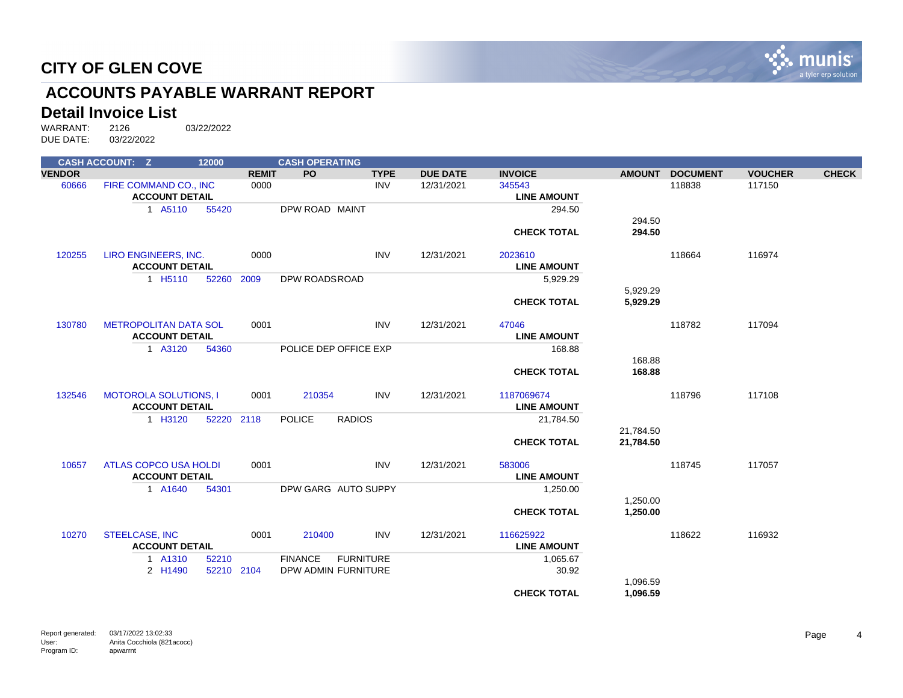

# **ACCOUNTS PAYABLE WARRANT REPORT**

#### **Detail Invoice List**

|               | <b>CASH ACCOUNT: Z</b>       | 12000      |              | <b>CASH OPERATING</b> |                       |                 |                    |               |                 |                |              |
|---------------|------------------------------|------------|--------------|-----------------------|-----------------------|-----------------|--------------------|---------------|-----------------|----------------|--------------|
| <b>VENDOR</b> |                              |            | <b>REMIT</b> | <b>PO</b>             | <b>TYPE</b>           | <b>DUE DATE</b> | <b>INVOICE</b>     | <b>AMOUNT</b> | <b>DOCUMENT</b> | <b>VOUCHER</b> | <b>CHECK</b> |
| 60666         | FIRE COMMAND CO., INC        |            | 0000         |                       | <b>INV</b>            | 12/31/2021      | 345543             |               | 118838          | 117150         |              |
|               | <b>ACCOUNT DETAIL</b>        |            |              |                       |                       |                 | <b>LINE AMOUNT</b> |               |                 |                |              |
|               | 1 A5110                      | 55420      |              | DPW ROAD MAINT        |                       |                 | 294.50             |               |                 |                |              |
|               |                              |            |              |                       |                       |                 |                    | 294.50        |                 |                |              |
|               |                              |            |              |                       |                       |                 | <b>CHECK TOTAL</b> | 294.50        |                 |                |              |
| 120255        | LIRO ENGINEERS, INC.         |            | 0000         |                       | <b>INV</b>            | 12/31/2021      | 2023610            |               | 118664          | 116974         |              |
|               | <b>ACCOUNT DETAIL</b>        |            |              |                       |                       |                 | <b>LINE AMOUNT</b> |               |                 |                |              |
|               | 1 H <sub>5</sub> 110         | 52260      | 2009         | DPW ROADSROAD         |                       |                 | 5,929.29           |               |                 |                |              |
|               |                              |            |              |                       |                       |                 |                    | 5,929.29      |                 |                |              |
|               |                              |            |              |                       |                       |                 | <b>CHECK TOTAL</b> | 5,929.29      |                 |                |              |
| 130780        | <b>METROPOLITAN DATA SOL</b> |            | 0001         |                       | <b>INV</b>            | 12/31/2021      | 47046              |               | 118782          | 117094         |              |
|               | <b>ACCOUNT DETAIL</b>        |            |              |                       |                       |                 | <b>LINE AMOUNT</b> |               |                 |                |              |
|               | 1 A3120                      | 54360      |              |                       | POLICE DEP OFFICE EXP |                 | 168.88             |               |                 |                |              |
|               |                              |            |              |                       |                       |                 |                    | 168.88        |                 |                |              |
|               |                              |            |              |                       |                       |                 | <b>CHECK TOTAL</b> | 168.88        |                 |                |              |
| 132546        | <b>MOTOROLA SOLUTIONS, I</b> |            | 0001         | 210354                | INV                   | 12/31/2021      | 1187069674         |               | 118796          | 117108         |              |
|               | <b>ACCOUNT DETAIL</b>        |            |              |                       |                       |                 | <b>LINE AMOUNT</b> |               |                 |                |              |
|               | 1 H3120                      | 52220 2118 |              | <b>POLICE</b>         | <b>RADIOS</b>         |                 | 21,784.50          |               |                 |                |              |
|               |                              |            |              |                       |                       |                 |                    | 21,784.50     |                 |                |              |
|               |                              |            |              |                       |                       |                 | <b>CHECK TOTAL</b> | 21,784.50     |                 |                |              |
| 10657         | <b>ATLAS COPCO USA HOLDI</b> |            | 0001         |                       | INV                   | 12/31/2021      | 583006             |               | 118745          | 117057         |              |
|               | <b>ACCOUNT DETAIL</b>        |            |              |                       |                       |                 | <b>LINE AMOUNT</b> |               |                 |                |              |
|               | 1 A1640                      | 54301      |              |                       | DPW GARG AUTO SUPPY   |                 | 1,250.00           |               |                 |                |              |
|               |                              |            |              |                       |                       |                 |                    | 1,250.00      |                 |                |              |
|               |                              |            |              |                       |                       |                 | <b>CHECK TOTAL</b> | 1,250.00      |                 |                |              |
| 10270         | <b>STEELCASE, INC</b>        |            | 0001         | 210400                | INV                   | 12/31/2021      | 116625922          |               | 118622          | 116932         |              |
|               | <b>ACCOUNT DETAIL</b>        |            |              |                       |                       |                 | <b>LINE AMOUNT</b> |               |                 |                |              |
|               | 1 A1310                      | 52210      |              | <b>FINANCE</b>        | <b>FURNITURE</b>      |                 | 1,065.67           |               |                 |                |              |
|               | 2 H1490                      | 52210 2104 |              |                       | DPW ADMIN FURNITURE   |                 | 30.92              |               |                 |                |              |
|               |                              |            |              |                       |                       |                 |                    | 1,096.59      |                 |                |              |
|               |                              |            |              |                       |                       |                 | <b>CHECK TOTAL</b> | 1,096.59      |                 |                |              |
|               |                              |            |              |                       |                       |                 |                    |               |                 |                |              |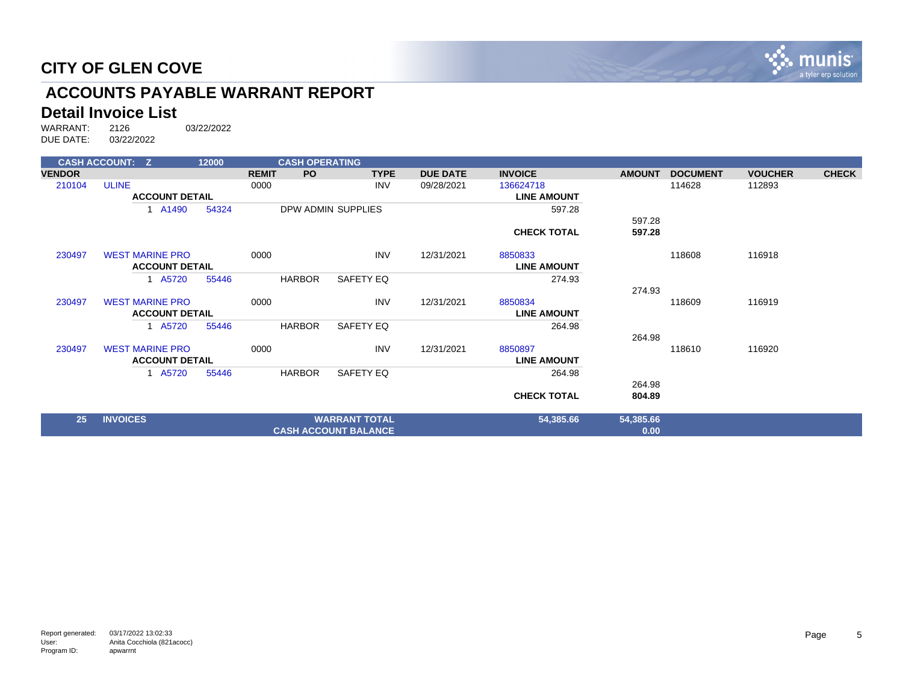

# **ACCOUNTS PAYABLE WARRANT REPORT**

# **Detail Invoice List**<br>WARRANT: 2126

|               | <b>CASH ACCOUNT: Z</b> |       | 12000 |              | <b>CASH OPERATING</b> |                             |                 |                    |               |                 |                |              |
|---------------|------------------------|-------|-------|--------------|-----------------------|-----------------------------|-----------------|--------------------|---------------|-----------------|----------------|--------------|
| <b>VENDOR</b> |                        |       |       | <b>REMIT</b> | PO.                   | <b>TYPE</b>                 | <b>DUE DATE</b> | <b>INVOICE</b>     | <b>AMOUNT</b> | <b>DOCUMENT</b> | <b>VOUCHER</b> | <b>CHECK</b> |
| 210104        | <b>ULINE</b>           |       |       | 0000         |                       | <b>INV</b>                  | 09/28/2021      | 136624718          |               | 114628          | 112893         |              |
|               | <b>ACCOUNT DETAIL</b>  |       |       |              |                       |                             |                 | <b>LINE AMOUNT</b> |               |                 |                |              |
|               |                        | A1490 | 54324 |              |                       | DPW ADMIN SUPPLIES          |                 | 597.28             |               |                 |                |              |
|               |                        |       |       |              |                       |                             |                 |                    | 597.28        |                 |                |              |
|               |                        |       |       |              |                       |                             |                 | <b>CHECK TOTAL</b> | 597.28        |                 |                |              |
| 230497        | <b>WEST MARINE PRO</b> |       |       | 0000         |                       | <b>INV</b>                  | 12/31/2021      | 8850833            |               | 118608          | 116918         |              |
|               | <b>ACCOUNT DETAIL</b>  |       |       |              |                       |                             |                 | <b>LINE AMOUNT</b> |               |                 |                |              |
|               |                        | A5720 | 55446 |              | <b>HARBOR</b>         | SAFETY EQ                   |                 | 274.93             |               |                 |                |              |
|               |                        |       |       |              |                       |                             |                 |                    | 274.93        |                 |                |              |
| 230497        | <b>WEST MARINE PRO</b> |       |       | 0000         |                       | <b>INV</b>                  | 12/31/2021      | 8850834            |               | 118609          | 116919         |              |
|               | <b>ACCOUNT DETAIL</b>  |       |       |              |                       |                             |                 | <b>LINE AMOUNT</b> |               |                 |                |              |
|               |                        | A5720 | 55446 |              | HARBOR                | SAFETY EQ                   |                 | 264.98             |               |                 |                |              |
|               |                        |       |       |              |                       |                             |                 |                    | 264.98        |                 |                |              |
| 230497        | <b>WEST MARINE PRO</b> |       |       | 0000         |                       | <b>INV</b>                  | 12/31/2021      | 8850897            |               | 118610          | 116920         |              |
|               | <b>ACCOUNT DETAIL</b>  |       |       |              |                       |                             |                 | <b>LINE AMOUNT</b> |               |                 |                |              |
|               |                        | A5720 | 55446 |              | <b>HARBOR</b>         | SAFETY EQ                   |                 | 264.98             |               |                 |                |              |
|               |                        |       |       |              |                       |                             |                 |                    | 264.98        |                 |                |              |
|               |                        |       |       |              |                       |                             |                 | <b>CHECK TOTAL</b> | 804.89        |                 |                |              |
| 25            | <b>INVOICES</b>        |       |       |              |                       | <b>WARRANT TOTAL</b>        |                 | 54,385.66          | 54,385.66     |                 |                |              |
|               |                        |       |       |              |                       | <b>CASH ACCOUNT BALANCE</b> |                 |                    | 0.00          |                 |                |              |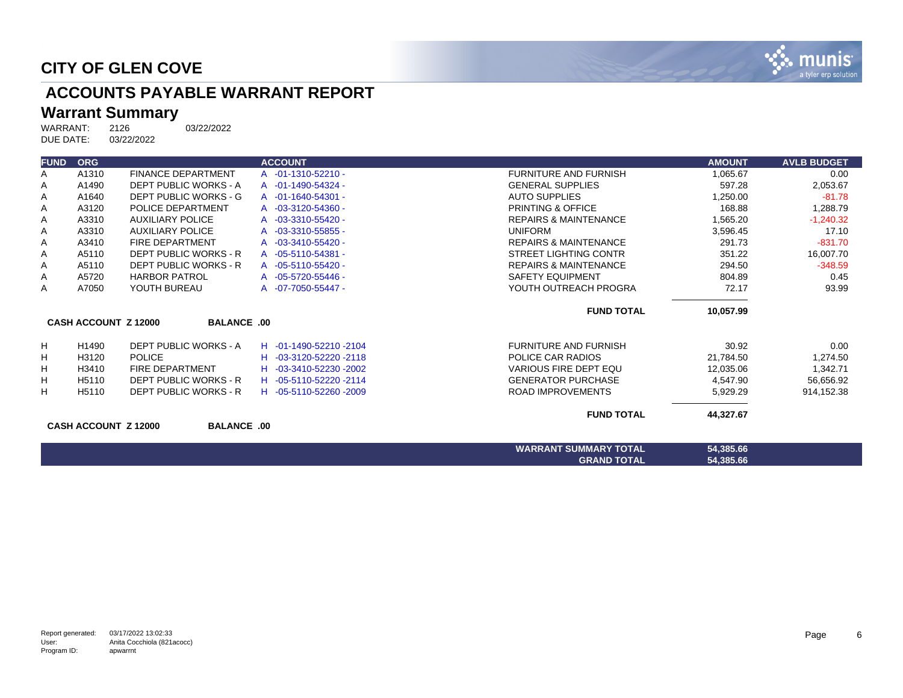

# **ACCOUNTS PAYABLE WARRANT REPORT**

# **Warrant Summary**<br>WARRANT: 2126

2126 03/22/2022<br>03/22/2022 DUE DATE:

| <b>FUND</b> | <b>ORG</b>                  |                              | <b>ACCOUNT</b>         |                                  | <b>AMOUNT</b> | <b>AVLB BUDGET</b> |
|-------------|-----------------------------|------------------------------|------------------------|----------------------------------|---------------|--------------------|
| A           | A1310                       | <b>FINANCE DEPARTMENT</b>    | A -01-1310-52210 -     | <b>FURNITURE AND FURNISH</b>     | 1,065.67      | 0.00               |
| Α           | A1490                       | DEPT PUBLIC WORKS - A        | A -01-1490-54324 -     | <b>GENERAL SUPPLIES</b>          | 597.28        | 2,053.67           |
| Α           | A1640                       | <b>DEPT PUBLIC WORKS - G</b> | A -01-1640-54301 -     | <b>AUTO SUPPLIES</b>             | 1,250.00      | $-81.78$           |
| Α           | A3120                       | POLICE DEPARTMENT            | A -03-3120-54360 -     | <b>PRINTING &amp; OFFICE</b>     | 168.88        | 1,288.79           |
| Α           | A3310                       | <b>AUXILIARY POLICE</b>      | A -03-3310-55420 -     | <b>REPAIRS &amp; MAINTENANCE</b> | 1,565.20      | $-1,240.32$        |
| Α           | A3310                       | <b>AUXILIARY POLICE</b>      | A -03-3310-55855 -     | <b>UNIFORM</b>                   | 3,596.45      | 17.10              |
| A           | A3410                       | <b>FIRE DEPARTMENT</b>       | A -03-3410-55420 -     | <b>REPAIRS &amp; MAINTENANCE</b> | 291.73        | $-831.70$          |
| Α           | A5110                       | <b>DEPT PUBLIC WORKS - R</b> | A -05-5110-54381 -     | <b>STREET LIGHTING CONTR</b>     | 351.22        | 16,007.70          |
| Α           | A5110                       | <b>DEPT PUBLIC WORKS - R</b> | A -05-5110-55420 -     | <b>REPAIRS &amp; MAINTENANCE</b> | 294.50        | $-348.59$          |
| Α           | A5720                       | <b>HARBOR PATROL</b>         | A -05-5720-55446 -     | <b>SAFETY EQUIPMENT</b>          | 804.89        | 0.45               |
| Α           | A7050                       | YOUTH BUREAU                 | A -07-7050-55447 -     | YOUTH OUTREACH PROGRA            | 72.17         | 93.99              |
|             |                             |                              |                        | <b>FUND TOTAL</b>                | 10,057.99     |                    |
|             | <b>CASH ACCOUNT Z 12000</b> | <b>BALANCE .00</b>           |                        |                                  |               |                    |
| н           | H1490                       | DEPT PUBLIC WORKS - A        | H -01-1490-52210-2104  | <b>FURNITURE AND FURNISH</b>     | 30.92         | 0.00               |
| H           | H3120                       | <b>POLICE</b>                | H -03-3120-52220 -2118 | POLICE CAR RADIOS                | 21,784.50     | 1,274.50           |
| н           | H3410                       | <b>FIRE DEPARTMENT</b>       | H -03-3410-52230 -2002 | <b>VARIOUS FIRE DEPT EQU</b>     | 12,035.06     | 1,342.71           |
| H           | H <sub>5110</sub>           | <b>DEPT PUBLIC WORKS - R</b> | H -05-5110-52220-2114  | <b>GENERATOR PURCHASE</b>        | 4,547.90      | 56,656.92          |
| H           | H5110                       | <b>DEPT PUBLIC WORKS - R</b> | H -05-5110-52260 -2009 | <b>ROAD IMPROVEMENTS</b>         | 5,929.29      | 914,152.38         |
|             |                             |                              |                        | <b>FUND TOTAL</b>                | 44,327.67     |                    |
|             | <b>CASH ACCOUNT Z 12000</b> | <b>BALANCE .00</b>           |                        |                                  |               |                    |
|             |                             |                              |                        | <b>WARRANT SUMMARY TOTAL</b>     | 54,385.66     |                    |
|             |                             |                              |                        | <b>GRAND TOTAL</b>               | 54,385.66     |                    |